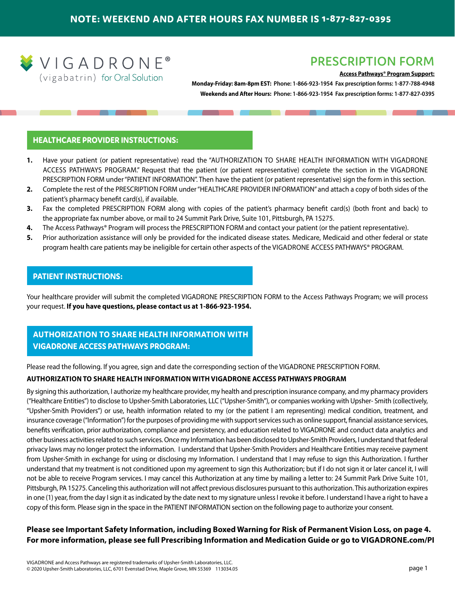

# **PRESCRIPTION FORM**

### **Access Pathways® Program Support:**

**Monday-Friday: 8am-8pm EST: Phone: 1-866-923-1954 Fax prescription forms: 1-877-788-4948 Weekends and After Hours: Phone: 1-866-923-1954 Fax prescription forms: 1-877-827-0395**

### **HEALTHCARE PROVIDER INSTRUCTIONS:**

- **1.** Have your patient (or patient representative) read the "AUTHORIZATION TO SHARE HEALTH INFORMATION WITH VIGADRONE ACCESS PATHWAYS PROGRAM." Request that the patient (or patient representative) complete the section in the VIGADRONE PRESCRIPTION FORM under "PATIENT INFORMATION". Then have the patient (or patient representative) sign the form in this section.
- **2.** Complete the rest of the PRESCRIPTION FORM under "HEALTHCARE PROVIDER INFORMATION" and attach a copy of both sides of the patient's pharmacy benefit card(s), if available.
- **3.** Fax the completed PRESCRIPTION FORM along with copies of the patient's pharmacy benefit card(s) (both front and back) to the appropriate fax number above, or mail to 24 Summit Park Drive, Suite 101, Pittsburgh, PA 15275.
- **4.** The Access Pathways® Program will process the PRESCRIPTION FORM and contact your patient (or the patient representative).
- **5.** Prior authorization assistance will only be provided for the indicated disease states. Medicare, Medicaid and other federal or state program health care patients may be ineligible for certain other aspects of the VIGADRONE ACCESS PATHWAYS® PROGRAM.

### **PATIENT INSTRUCTIONS:**

Your healthcare provider will submit the completed VIGADRONE PRESCRIPTION FORM to the Access Pathways Program; we will process your request. **If you have questions, please contact us at 1-866-923-1954.**

## **AUTHORIZATION TO SHARE HEALTH INFORMATION WITH VIGADRONE ACCESS PATHWAYS PROGRAM:**

Please read the following. If you agree, sign and date the corresponding section of the VIGADRONE PRESCRIPTION FORM.

### **AUTHORIZATION TO SHARE HEALTH INFORMATION WITH VIGADRONE ACCESS PATHWAYS PROGRAM**

By signing this authorization, I authorize my healthcare provider, my health and prescription insurance company, and my pharmacy providers ("Healthcare Entities") to disclose to Upsher-Smith Laboratories, LLC ("Upsher-Smith"), or companies working with Upsher- Smith (collectively, "Upsher-Smith Providers") or use, health information related to my (or the patient I am representing) medical condition, treatment, and insurance coverage ("Information") for the purposes of providing me with support services such as online support, financial assistance services, benefits verification, prior authorization, compliance and persistency, and education related to VIGADRONE and conduct data analytics and other business activities related to such services. Once my Information has been disclosed to Upsher-Smith Providers, I understand that federal privacy laws may no longer protect the information. I understand that Upsher-Smith Providers and Healthcare Entities may receive payment from Upsher-Smith in exchange for using or disclosing my Information. I understand that I may refuse to sign this Authorization. I further understand that my treatment is not conditioned upon my agreement to sign this Authorization; but if I do not sign it or later cancel it, I will not be able to receive Program services. I may cancel this Authorization at any time by mailing a letter to: 24 Summit Park Drive Suite 101, Pittsburgh, PA 15275. Canceling this authorization will not affect previous disclosures pursuant to this authorization. This authorization expires in one (1) year, from the day I sign it as indicated by the date next to my signature unless I revoke it before. I understand I have a right to have a copy of this form. Please sign in the space in the PATIENT INFORMATION section on the following page to authorize your consent.

## **Please see Important Safety Information, including Boxed Warning for Risk of Permanent Vision Loss, on page 4. For more information, please see full [Prescribing Information](http://www.upsher-smith.com/wp-content/uploads/VIG-MktgInsert.pdf) and [Medication Guide](http://www.upsher-smith.com/wp-content/uploads/VIG-MedGuide.pdf) or go to [VIGADRONE.com/PI](http://www.vigadrone.com/PI)**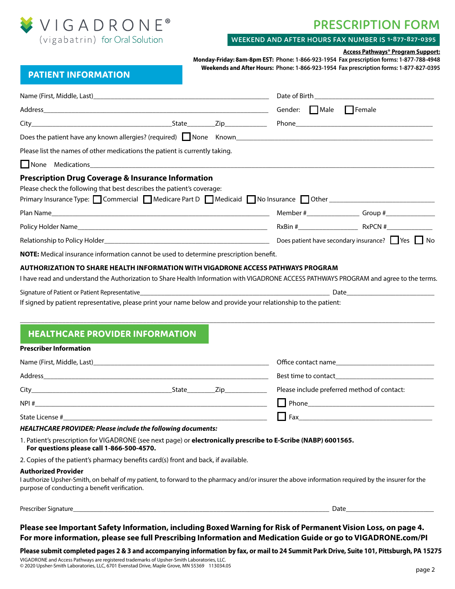

# **PRESCRIPTION FORM**

### **WEEKEND AND AFTER HOURS FAX NUMBER IS 1-877-827-0395**

#### **Access Pathways® Program Support:**

**Monday-Friday: 8am-8pm EST: Phone: 1-866-923-1954 Fax prescription forms: 1-877-788-4948 Weekends and After Hours: Phone: 1-866-923-1954 Fax prescription forms: 1-877-827-0395**

# **PATIENT INFORMATION**

| Address and the contract of the contract of the contract of the contract of the contract of the contract of the contract of the contract of the contract of the contract of the contract of the contract of the contract of th                  |  | Gender: Male Female |                                             |  |  |
|-------------------------------------------------------------------------------------------------------------------------------------------------------------------------------------------------------------------------------------------------|--|---------------------|---------------------------------------------|--|--|
|                                                                                                                                                                                                                                                 |  |                     |                                             |  |  |
|                                                                                                                                                                                                                                                 |  |                     |                                             |  |  |
| Please list the names of other medications the patient is currently taking.                                                                                                                                                                     |  |                     |                                             |  |  |
| None Medications <b>Manual Community of the Medication</b> Medications <b>Manual Community</b>                                                                                                                                                  |  |                     |                                             |  |  |
| <b>Prescription Drug Coverage &amp; Insurance Information</b><br>Please check the following that best describes the patient's coverage:<br>Primary Insurance Type: Commercial Medicare Part D Medicaid No Insurance Other _____________________ |  |                     |                                             |  |  |
|                                                                                                                                                                                                                                                 |  |                     |                                             |  |  |
|                                                                                                                                                                                                                                                 |  |                     |                                             |  |  |
|                                                                                                                                                                                                                                                 |  |                     |                                             |  |  |
| NOTE: Medical insurance information cannot be used to determine prescription benefit.                                                                                                                                                           |  |                     |                                             |  |  |
| <b>HEALTHCARE PROVIDER INFORMATION</b>                                                                                                                                                                                                          |  |                     |                                             |  |  |
| <b>Prescriber Information</b>                                                                                                                                                                                                                   |  |                     |                                             |  |  |
|                                                                                                                                                                                                                                                 |  |                     |                                             |  |  |
|                                                                                                                                                                                                                                                 |  |                     |                                             |  |  |
|                                                                                                                                                                                                                                                 |  |                     | Please include preferred method of contact: |  |  |
|                                                                                                                                                                                                                                                 |  |                     |                                             |  |  |
|                                                                                                                                                                                                                                                 |  |                     |                                             |  |  |
| HEALTHCARE PROVIDER: Please include the following documents:                                                                                                                                                                                    |  |                     |                                             |  |  |
| 1. Patient's prescription for VIGADRONE (see next page) or electronically prescribe to E-Scribe (NABP) 6001565.<br>For questions please call 1-866-500-4570.                                                                                    |  |                     |                                             |  |  |
| 2. Copies of the patient's pharmacy benefits card(s) front and back, if available.                                                                                                                                                              |  |                     |                                             |  |  |
| <b>Authorized Provider</b><br>I authorize Upsher-Smith, on behalf of my patient, to forward to the pharmacy and/or insurer the above information required by the insurer for the<br>purpose of conducting a benefit verification.               |  |                     |                                             |  |  |

Prescriber Signature\_\_\_\_\_\_\_\_\_\_\_\_\_\_\_\_\_\_\_\_\_\_\_\_\_\_\_\_\_\_\_\_\_\_\_\_\_\_\_\_\_\_\_\_\_\_\_\_\_\_\_\_\_\_\_\_\_\_\_\_\_\_\_\_\_\_\_\_\_\_\_\_\_ Date\_\_\_\_\_\_\_\_\_\_\_\_\_\_\_\_\_\_\_\_\_\_\_\_\_

## **Please see Important Safety Information, including Boxed Warning for Risk of Permanent Vision Loss, on page 4. For more information, please see full [Prescribing Information](http://www.upsher-smith.com/wp-content/uploads/VIG-MktgInsert.pdf) and [Medication Guide](http://www.upsher-smith.com/wp-content/uploads/VIG-MedGuide.pdf) or go to [VIGADRONE.com/PI](http://www.vigadrone.com/PI)**

### **Please submit completed pages 2 & 3 and accompanying information by fax, or mail to 24 Summit Park Drive, Suite 101, Pittsburgh, PA 15275**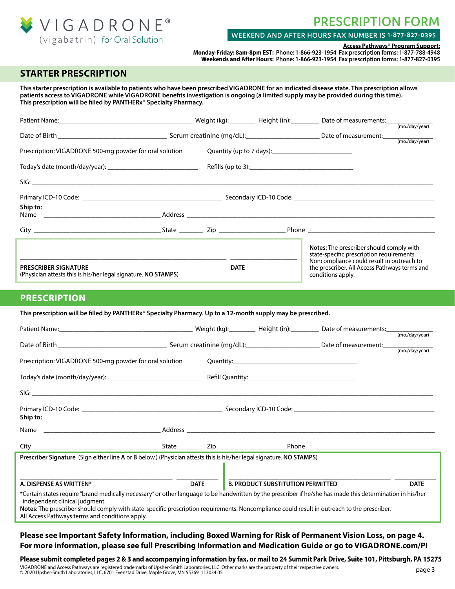

# **PRESCRIPTION FORM**

### **WEEKEND AND AFTER HOURS FAX NUMBER IS 1-877-827-0395**

**Access Pathways® Program Support:**

**Monday-Friday: 8am-8pm EST: Phone: 1-866-923-1954 Fax prescription forms: 1-877-788-4948 Weekends and After Hours: Phone: 1-866-923-1954 Fax prescription forms: 1-877-827-0395**

# **STARTER PRESCRIPTION**

**This starter prescription is available to patients who have been prescribed VIGADRONE for an indicated disease state. This prescription allows patients access to VIGADRONE while VIGADRONE benefits investigation is ongoing (a limited supply may be provided during this time). This prescription will be filled by PANTHERx® Specialty Pharmacy.**

| Patient Name: <u>Communication and Communication and Communication</u> (Meight (kg): Communication and Meight (in): Communication and Date of measurements:                                                                                                                                                                                                                                     |                         |             |                                          |                                                                                                                 |                |
|-------------------------------------------------------------------------------------------------------------------------------------------------------------------------------------------------------------------------------------------------------------------------------------------------------------------------------------------------------------------------------------------------|-------------------------|-------------|------------------------------------------|-----------------------------------------------------------------------------------------------------------------|----------------|
|                                                                                                                                                                                                                                                                                                                                                                                                 |                         |             |                                          |                                                                                                                 | (mo./day/year) |
|                                                                                                                                                                                                                                                                                                                                                                                                 |                         |             |                                          |                                                                                                                 |                |
| Prescription: VIGADRONE 500-mg powder for oral solution                                                                                                                                                                                                                                                                                                                                         |                         |             |                                          |                                                                                                                 |                |
|                                                                                                                                                                                                                                                                                                                                                                                                 |                         |             |                                          |                                                                                                                 |                |
|                                                                                                                                                                                                                                                                                                                                                                                                 |                         |             |                                          |                                                                                                                 |                |
|                                                                                                                                                                                                                                                                                                                                                                                                 |                         |             |                                          |                                                                                                                 |                |
| Ship to:                                                                                                                                                                                                                                                                                                                                                                                        |                         |             |                                          |                                                                                                                 |                |
|                                                                                                                                                                                                                                                                                                                                                                                                 |                         |             |                                          |                                                                                                                 |                |
|                                                                                                                                                                                                                                                                                                                                                                                                 |                         |             |                                          |                                                                                                                 |                |
|                                                                                                                                                                                                                                                                                                                                                                                                 |                         |             |                                          | Notes: The prescriber should comply with<br>state-specific prescription requirements.                           |                |
| <b>PRESCRIBER SIGNATURE</b><br>(Physician attests this is his/her legal signature. NO STAMPS)                                                                                                                                                                                                                                                                                                   |                         | <b>DATE</b> |                                          | Noncompliance could result in outreach to<br>the prescriber. All Access Pathways terms and<br>conditions apply. |                |
| <b>PRESCRIPTION</b>                                                                                                                                                                                                                                                                                                                                                                             |                         |             |                                          |                                                                                                                 |                |
| This prescription will be filled by PANTHERx® Specialty Pharmacy. Up to a 12-month supply may be prescribed.                                                                                                                                                                                                                                                                                    |                         |             |                                          |                                                                                                                 |                |
| Patient Name: Content of Content of Content of Content of Content of Content of Content of Content of Content of Content of Content of Content of Content of Content of Content of Content of Content of Content of Content of                                                                                                                                                                  |                         |             |                                          |                                                                                                                 |                |
|                                                                                                                                                                                                                                                                                                                                                                                                 |                         |             |                                          | (mo./day/year)                                                                                                  |                |
|                                                                                                                                                                                                                                                                                                                                                                                                 |                         |             |                                          |                                                                                                                 |                |
| Prescription: VIGADRONE 500-mg powder for oral solution                                                                                                                                                                                                                                                                                                                                         |                         |             |                                          |                                                                                                                 |                |
|                                                                                                                                                                                                                                                                                                                                                                                                 |                         |             |                                          |                                                                                                                 |                |
|                                                                                                                                                                                                                                                                                                                                                                                                 |                         |             |                                          |                                                                                                                 |                |
|                                                                                                                                                                                                                                                                                                                                                                                                 |                         |             |                                          |                                                                                                                 |                |
| Ship to:                                                                                                                                                                                                                                                                                                                                                                                        |                         |             |                                          |                                                                                                                 |                |
|                                                                                                                                                                                                                                                                                                                                                                                                 |                         |             |                                          |                                                                                                                 |                |
| City                                                                                                                                                                                                                                                                                                                                                                                            | State ___________ Zip _ |             | Phone                                    |                                                                                                                 |                |
| Prescriber Signature (Sign either line A or B below.) (Physician attests this is his/her legal signature. NO STAMPS)                                                                                                                                                                                                                                                                            |                         |             |                                          |                                                                                                                 |                |
|                                                                                                                                                                                                                                                                                                                                                                                                 |                         |             |                                          |                                                                                                                 |                |
| A. DISPENSE AS WRITTEN*                                                                                                                                                                                                                                                                                                                                                                         | <b>DATE</b>             |             | <b>B. PRODUCT SUBSTITUTION PERMITTED</b> |                                                                                                                 | <b>DATE</b>    |
| *Certain states require "brand medically necessary" or other language to be handwritten by the prescriber if he/she has made this determination in his/her<br>independent clinical judgment.<br>Notes: The prescriber should comply with state-specific prescription requirements. Noncompliance could result in outreach to the prescriber.<br>All Access Pathways terms and conditions apply. |                         |             |                                          |                                                                                                                 |                |

### **Please see Important Safety Information, including Boxed Warning for Risk of Permanent Vision Loss, on page 4. For more information, please see full [Prescribing Information](http://www.upsher-smith.com/wp-content/uploads/VIG-MktgInsert.pdf) and [Medication Guide](http://www.upsher-smith.com/wp-content/uploads/VIG-MedGuide.pdf) or go to [VIGADRONE.com/PI](http://www.vigadrone.com/PI)**

**Please submit completed pages 2 & 3 and accompanying information by fax, or mail to 24 Summit Park Drive, Suite 101, Pittsburgh, PA 15275** VIGADRONE and Access Pathways are registered trademarks of Upsher-Smith Laboratories, LLC. Other marks are the property of their respective owners. © 2020 Upsher-Smith Laboratories, LLC, 6701 Evenstad Drive, Maple Grove, MN 55369 113034.05 page 3